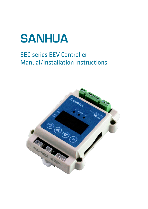

# SEC series EEV Controller Manual/Installation Instructions

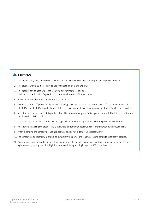### **A** CAUTIONS

- 1. This product may cause an electric shock in handling. Please do not attempt to open it with power turned on.
- 2. This product should be installed in a place fixed secured by a rack or panel.
- 3. This product can be used under the following environmental conditions:
	- Indoor Pollution Degree 2 At an altitude of 2000m or below
- 4. Power input must be within the designated ranges.
- 5. To turn on or turn off power supply for this product, please use the circuit breaker or switch of a standard product of IEC 60947-1 or IEC 60947-3 product and install it within a close distance allowing convenient operation by user provided.
- 6. An output wire to be used for this product should be inflammable grade FV1(v-1 grade or above). The thickness of the wire should 0.08mm²~1.3 mm²
- 7. In order to prevent it from an inductive noise, please maintain the high-voltage wire and power wire separated.
- 8. Please avoid installing the product in a place where a strong magnetism, noise, severe vibration and impact exist.
- 9. When extending the sensor wire, use a shield wire and do not extend it unnecessary long.
- 10. The sensor wire and signal wire should be away from the power and load wires using conduits separately installed.
- 11. Please avoid using the product near a device generating strong high frequency noise (high frequency welding machine, high-frequency sewing machine, high-frequency radiotelegraph, high capacity SCR controller)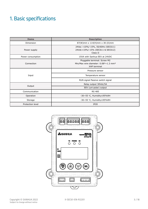# 1. Basic specifications

| <b>Items</b>      | <b>Description</b>                                                                                      |  |  |  |
|-------------------|---------------------------------------------------------------------------------------------------------|--|--|--|
| Dimension         | $87(W)$ mm x 114(H)mm x 30 (D)mm                                                                        |  |  |  |
| Power supply      | 24Vac +10%/-15%, 50/60Hz (SEC611)<br>24Vdc+10%/-15% (SEC611 & SEC612)<br>Class II                       |  |  |  |
| Power consumption | 15VA with Sanhua EEV at 24VDC                                                                           |  |  |  |
| Connection        | Pluggable terminal: Screw M2<br>Min/Max wire diameter: $0.082 \sim 1.3$ mm <sup>2</sup><br>XHP terminal |  |  |  |
|                   | Pressure sensor                                                                                         |  |  |  |
| Input             | Temperature sensor                                                                                      |  |  |  |
|                   | RUN signal Passive switch signal                                                                        |  |  |  |
|                   | Relay output 30Vdc/5A                                                                                   |  |  |  |
| Output            | EEV (uni-polar) output                                                                                  |  |  |  |
| Communication     | <b>RS 485</b>                                                                                           |  |  |  |
| Operation         | -30~55 °C, Humidity≤95%RH                                                                               |  |  |  |
| Storage           | -30~55 °C, Humidity ≤95%RH                                                                              |  |  |  |
| Protection level  | <b>IP20</b>                                                                                             |  |  |  |

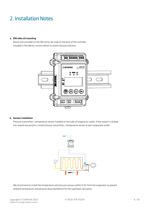### 2. Installation Notes

#### a. DIN slide rail mounting

Mount the controller on the DIN rail by the snap on the back of the controller. Installed in the electric control cabinet to avoid moisture and dust.



#### b. Sensors installation

Pressure transmitter / temperature sensor installed on the tube of evapora tor outlet. If the system is divided into several eva porators, install pressure transmitter / temperature sensor at each evaporator outlet.



We recommend to install the temperature and pressure sensors within 0.5m from the evaporator to prevent ambient temperature and pressure drop interference for the superheat calculation.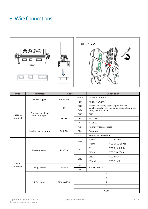### 3. Wire Connections



| <b>Type</b>                              | <b>Function</b>                    | Label            |                | <b>Description</b>                                                                                                                                                                                                                                 |  |  |
|------------------------------------------|------------------------------------|------------------|----------------|----------------------------------------------------------------------------------------------------------------------------------------------------------------------------------------------------------------------------------------------------|--|--|
|                                          |                                    |                  | $+24V$         | AC24V / DC24V+                                                                                                                                                                                                                                     |  |  |
|                                          | Power supply                       | 24Vac/Vdc        | $-24V$         | AC24V / DC24V-                                                                                                                                                                                                                                     |  |  |
|                                          |                                    | <b>RUN</b>       | <b>GND</b>     | Passive swithcing signal, open or close                                                                                                                                                                                                            |  |  |
| Pluggable<br>terminal<br>XHP<br>terminal |                                    |                  | S/W            | using manual mode                                                                                                                                                                                                                                  |  |  |
|                                          | Compressor signal<br>and comm port |                  | <b>GND</b>     | <b>GND</b>                                                                                                                                                                                                                                         |  |  |
|                                          |                                    | <b>RS485</b>     | $B -$          | $TKX-(B)$                                                                                                                                                                                                                                          |  |  |
|                                          |                                    |                  | $A+$           | $TKX+(A)$                                                                                                                                                                                                                                          |  |  |
|                                          |                                    |                  | N.O.           | synchronously with the compressor, close when<br>Normally Open contact<br>$YCQB: +5V$<br>YCQC: 10-30Vdc<br>YCQB: 0.5-3.5V<br>YCQC: 4-20mA<br>YCQB: GND<br>YCQC: N/A<br>NTCSK/B3970<br>Α<br>B<br>$\overline{\mathsf{A}}$<br>$\overline{\mathsf{B}}$ |  |  |
|                                          | Auxiliary relay output             | <b>AUX-RLY</b>   | COM            | Common                                                                                                                                                                                                                                             |  |  |
|                                          |                                    |                  | N.C.           | Normally Open contact                                                                                                                                                                                                                              |  |  |
|                                          |                                    | P-SENS           | <b>Vcc</b>     | Power:                                                                                                                                                                                                                                             |  |  |
|                                          |                                    |                  |                | (RED)                                                                                                                                                                                                                                              |  |  |
|                                          |                                    |                  | S <sub>1</sub> | S <sub>1</sub>                                                                                                                                                                                                                                     |  |  |
|                                          | Pressure sensor                    |                  |                | (White)                                                                                                                                                                                                                                            |  |  |
|                                          |                                    |                  |                | <b>GND</b>                                                                                                                                                                                                                                         |  |  |
|                                          |                                    |                  | <b>GND</b>     | (Black)                                                                                                                                                                                                                                            |  |  |
|                                          |                                    |                  | S <sub>2</sub> |                                                                                                                                                                                                                                                    |  |  |
|                                          | Temp. sensor                       | T-SENS           | <b>GND</b>     |                                                                                                                                                                                                                                                    |  |  |
|                                          |                                    |                  |                |                                                                                                                                                                                                                                                    |  |  |
|                                          |                                    |                  |                |                                                                                                                                                                                                                                                    |  |  |
|                                          | EEV output                         | <b>EEV MOTOR</b> |                |                                                                                                                                                                                                                                                    |  |  |
|                                          |                                    |                  |                |                                                                                                                                                                                                                                                    |  |  |
|                                          |                                    |                  |                | COM                                                                                                                                                                                                                                                |  |  |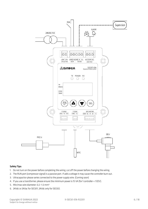

#### Safety Tips:

- 1. Do not turn on the power before completing the wiring, cut off the power before changing the wiring.
- 2. The RUN port (compressor signal) is a passive port. If add a voltage it may cause the controller burn out.
- 3. Ultracapacitor please series connected to the power supply wire. (Coming soon)
- 4. If you use a transformer, please ensure the minimum power is 15 VA (for 1 controller + 1 EEV).
- 5. Min/max wire diameter: 0.2 ~1.3 mm²
- 6. 24Vdc or 24Vac for SEC611, 24Vdc only for SEC612.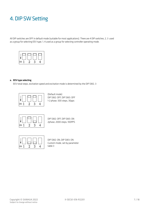## 4. DIP SW Setting

All DIP switches are OFF in default mode (suitable for most applications). There are 4 DIP switches, 2, 3 used as a group for selecting EEV type, 1, 4 used as a group for selecting controller operating mode.



#### a. EEV type selecting

EEV total steps, excitation speed and excitation mode is determined by the DIP SW2, 3



(Default mode) DIP SW2: OFF, DIP SW3: OFF 1-2 phase, 500 steps, 30pps



DIP SW2: OFF, DIP SW3: ON 2phase, 2000 steps, 100PPS



DIP SW2: ON, DIP SW3: ON Custom mode, set by parameter table 3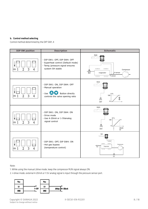#### b. Control method selecting

Control method determined by the DIP SW1, 4

| <b>DIP SW position</b>                                          | <b>Description</b>                                                                                                            | <b>Schematic</b>                                                                                                                                                                                               |
|-----------------------------------------------------------------|-------------------------------------------------------------------------------------------------------------------------------|----------------------------------------------------------------------------------------------------------------------------------------------------------------------------------------------------------------|
| 3<br>$\overline{2}$<br>$\overline{4}$<br>$\circ$ <sub>N</sub> 1 | - DIP SW1: OFF, DIP SW4: OFF<br>- Superheat control (Default mode)<br>- Temp./pressure signal ensures<br>system SH stable     | <b>RUN</b><br>$\overline{u}$<br>Compressor<br>쩑<br>P-sensor<br>Evaporator<br>T-sensor<br>$\begin{array}{c c} \hline \end{array} \begin{array}{c c} \hline \end{array} \begin{array}{c} \hline \end{array}$<br> |
| 3<br>$\overline{2}$<br>$\overline{4}$<br>ON <sub>1</sub>        | - DIP SW1: ON, DIP SW4: OFF<br>- Manual operation<br>- Use $\bigoplus$<br>Button directly<br>controls the valve opening ratio | <b>RUN</b><br>$100 -$<br>ိ<br>煛<br>EEV                                                                                                                                                                         |
| $\overline{2}$<br>3<br>$\overline{4}$<br>ON <sub>1</sub>        | - DIP SW1: ON, DIP SW4: ON<br>- Drive mode<br>- Use 4-20mA or 1-5Vanalog<br>signal control                                    | <b>RUN</b><br>100<br>曌<br>20mA<br>4<br>EEV<br>5V                                                                                                                                                               |
| $\overline{2}$<br>3<br>ON <sub>1</sub><br>$\overline{4}$        | - DIP SW1: OFF, DIP SW4: ON<br>- Hot gas bypass<br>(temperature control)                                                      | <b>RUN</b><br>T-sensor<br>$\sim$<br>$\subset$<br>Compressor<br>₹χ<br>Evaporator<br>$\mathbf{H}$<br>ШЦ<br>EEV                                                                                                   |

#### Note:

- 1. While using the manual /drive mode, keep the compressor RUN signal always ON.
- 2. n drive mode, external 4-20mA or 1-5V analog signal is input through the pressure sensor port.

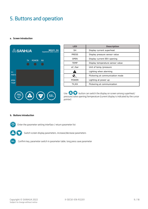## 5. Buttons and operation

#### a. Screen introduction



| <b>LED</b>   | <b>Description</b>               |
|--------------|----------------------------------|
| SH           | Display current superheat        |
| <b>PRESS</b> | Display pressure sensor value    |
| <b>OPEN</b>  | Display current EEV opening      |
| <b>TEMP</b>  | Display temperature sensor value |
| oC /bar      | Unit of temp./pressure           |
|              | Lighting when alarming           |
|              | Flickering at communication mode |
| <b>POWER</b> | Lighting at power up             |
| TX,RX        | Flickering at communication      |

Use  $\bigodot$  button can switch the display on screen among superheat/ pressure/valve opening/temperature (current display is indicated by the cursor pointer)

#### b. Buttons introduction



 $\left(\frac{\text{PRG}}{\text{rst}}\right)$  Enter the parameter setting interface / return parameter list



Switch screen display parameters, increase/decrease parameters

**SEL)** Confirm key, parameter switch in parameter table, long press save parameter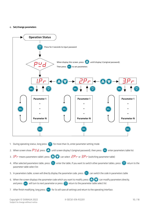#### c. Set/change parameters

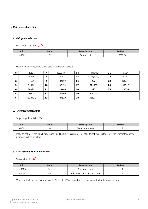#### d. Main parameter setting

#### *1. Refrigerant selection*

Refrigerant data is in  $2P \tau$ 

| Add.  | Code | <b>Description</b> | <b>Default</b> |  |
|-------|------|--------------------|----------------|--|
| 40062 |      | Refrigerant        | 0(R22)         |  |

Now 26 kinds refrigerants is available in controller as below:

| O | R <sub>22</sub> |    | R1234YF      | 14 | R744(CO2)       | 21 | R124         |
|---|-----------------|----|--------------|----|-----------------|----|--------------|
|   | R404A           | 8  | R290         | 15 | R744(N2O)       | 22 | R717         |
| 2 | <b>R410A</b>    | 9  | <b>R450A</b> | 16 | R32             | 23 | R407H        |
| 3 | R134A           | 10 | <b>R513A</b> | 17 | <b>R245FA</b>   | 24 | <b>R454C</b> |
| 4 | R407C           | 11 | <b>R448A</b> | 18 | R <sub>23</sub> | 25 | <b>R455A</b> |
| 5 | R507            | 12 | <b>R449A</b> | 19 | R407A           |    |              |
| 6 | R1234ZE         | 13 | <b>R452A</b> | 20 | <b>R407F</b>    |    |              |

#### *2. Target superheat setting*

Target superheat is in  $I.P$   $\vdash$ 

| Add.  | Code | <b>Description</b> | Default |
|-------|------|--------------------|---------|
| 40001 | אכ   | Target superheat   |         |

If the target SH is too small, may cause liquid hammer in compressor; if the target value is too large, the evaporator energy efficiency will be very low.

#### *3. Start open ratio and duration time*

You can find it in  $IPr$ 

| Add.  | Code | <b>Description</b>             | <b>Default</b> |
|-------|------|--------------------------------|----------------|
| 40003 | bir  | Start open ratio               |                |
| 40004 | SdŁ  | Start open ratio duration time |                |

When controller receives compressor RUN signal, EEV will keep the start opening ratio for the duration time.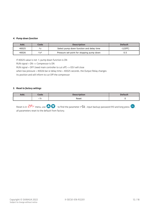#### *4. Pump down function*

| Add.  | Code | <b>Description</b>                        | <b>Default</b> |
|-------|------|-------------------------------------------|----------------|
| 40025 | Ρd   | Select pump down function and delay time  | $-1(OFF)$      |
| 40026 | PdP  | Pressure set-point for stopping pump down | 0.5            |

If 40025 value is not -1, pump down function is ON

RUN signal = ON => Compressor is ON

RUN signal = OFF (need main controller to cut off) => EEV will close

when low pressure = 40026 bar or delay time = 40025 seconds, the Output Relay changes

its position and will inform to cut Off the compressor

#### *5. Reset to factory settings*

| Aaa. | Code    | <b>Description</b> | <b>Default</b> |
|------|---------|--------------------|----------------|
|      | -<br>בר | Reset<br>.         |                |

Reset is in  $\overline{C.P}$  menu, use  $\bigoplus$  to find the parameter  $r5t$ , input backup-password 913 and long press  $\bigoplus$ , all parameters reset to the default from factory.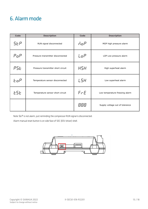### 6. Alarm mode

| Code                 | <b>Description</b>                 | Code               | <b>Description</b>              |
|----------------------|------------------------------------|--------------------|---------------------------------|
| <b>SEP</b>           | RUN signal disconnected            | $\bar{\rho}$ o $P$ | MOP high pressure alarm         |
| $P$ <sub>O</sub> $P$ | Pressure transmitter disconnected  | LoP                | LOP Low pressure alarm          |
| P5E                  | Pressure transmitter short circuit | <b>HSH</b>         | High superheat alarm            |
| EoP                  | Temperature sensor disconnected    | L5H                | Low superheat alarm             |
| ESE                  | Temperature sensor short circuit   | F F E              | Low temperature freezing alarm  |
|                      |                                    | 888                | Supply voltage out of tolerance |

Note  $5EP$  is not alarm, just reminding the compressor RUN signal is disconnected.

Alarm manual reset button is on side face of SEC (EEV driver) shell.

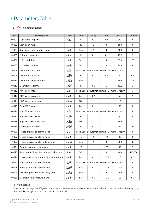## 7. Parameters Table

1. *I.P* r Refrigerant data is in

| Add.  | <b>Description</b>                        | <b>Code</b>     | Unit                                        | <b>Step</b>                                 | Min.           | Max. | <b>Default</b> |
|-------|-------------------------------------------|-----------------|---------------------------------------------|---------------------------------------------|----------------|------|----------------|
| 40001 | Superheat set point                       | 5H              | Κ                                           | 0.1                                         | 0.5            | 30   | 6              |
| 40003 | Start open ratio                          | bir             | $\frac{0}{0}$                               | $\mathbf{1}$                                | $\mathbf 0$    | 100  | 0              |
| 40004 | Start open ratio duration time            | 5dE             | Sec                                         | 1                                           | 0              | 600  | 0              |
| 40005 | P: Proportional gain                      | dFr             | $\frac{0}{0}$                               | 0.1                                         | 0.1            | 99.9 | 3              |
| 40006 | I: Integral time                          | $I$ r $E$       | Sec                                         | 1                                           | 0              | 999  | 20             |
| 40007 | D: Derivative time                        | drt             | Sec                                         | 1                                           | 0              | 999  | 4              |
| 40008 | Low SH alarm mode                         | L <sub>5</sub>  |                                             | 0=No use 1=automatic return 2=manual return |                |      | $\mathbf{1}$   |
| 40009 | Low SH alarm value                        | L <sub>5H</sub> | K                                           | 0.1                                         | 0.5            | 30   | 0.5            |
| 40010 | Low SH alarm delay time                   | L5d             | Sec                                         | $\mathbf{1}$                                | $\mathbf{1}$   | 300  | 15             |
| 40011 | Clear low SH alarm                        | L5F             | K                                           | 0.1                                         | 1              | 30.5 | 3              |
| 40012 | MOP alarm mode                            | $\bar{\theta}P$ |                                             | 0=No use 1=automatic return 2=manual return |                |      | $\mathbf{1}$   |
| 40013 | MOP alarm pressure                        | ñoP             | bar                                         | 0.1                                         | -1             | 50   | 9              |
| 40014 | MOP alarm delay time                      | <i>RPd</i>      | Min                                         | 1                                           | $\mathbf{1}$   | 15   | 1              |
| 40015 | Clear MOP alarm                           | <b>APF</b>      | bar                                         | 0.1                                         | $-1$           | 50   | 8              |
| 40016 | High SH alarm mode                        | H5              |                                             | 0=No use 1=automatic return 2=manual return |                |      | 0              |
| 40017 | High SH alarm value                       | H5H             | K                                           | $\mathbf{1}$                                | 10             | 40   | 30             |
| 40018 | High SH alarm delay time                  | H5d             | Min                                         | $\mathbf{1}$                                | $\mathbf{1}$   | 600  | 3              |
| 40019 | Clear high SH alarm                       | <b>HSF</b>      | K                                           | 0.1                                         | $\overline{7}$ | 37   | 27             |
| 40021 | Freeze prevention alarm mode              | Fr              |                                             | 0=No use 1=automatic return 2=manual return |                |      | 0              |
| 40022 | Freeze prevention alarm value             | FrE             | $^{\circ}$ C                                | 1                                           | $-40$          | 40   | 0              |
| 40023 | Freeze prevention alarm delay time        | F <sub>rd</sub> | Sec                                         | 1                                           | 5              | 200  | 30             |
| 40024 | Clear freeze prevention alarm             | $F - F$         | $^{\circ}$ C                                | 1                                           | $-37$          | 43   | 3              |
| 40025 | Select pump down function and delay time  | Pd              | Sec                                         | $\mathbf{1}$                                | 0              | 180  | $-1(OFF)$      |
| 40026 | Pressure set-point for stopping pump down | PdP             | bar                                         | 0.1                                         | $-0.5$         | 18   | 0.5            |
| 40027 | Pressure low limit alarm mode             | LP              | 0=No use 1=automatic return 2=manual return |                                             |                | 0    |                |
| 40028 | Pressure low limit alarm value            | LoP             | bar                                         | 0.1                                         | $-0.8$         | 17.7 | 0              |
| 40029 | Low limit pressure alarm delay time       | <b>LPd</b>      | Sec                                         | 1                                           | 5              | 200  | 5              |
| 40030 | Clear low limit pressure alarm            | L PF            | bar                                         | 0.1                                         | $-0.5$         | 18   | 0.3            |

#### 1) Alarm setting

When alarm setting is ON, if system pressure/temperature exceeds/below the set alarm value and keep more than the delay time, the controller will generate an alarm and act accordingly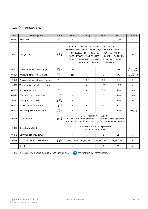### 2. <sup>2. P</sup> r (Parameters Table2)

| Add.  | <b>Description</b>                | <b>Code</b>     | Unit                                                                                                                                                                                                                                              | <b>Step</b>  | Min.         | Max. | <b>Default</b>              |
|-------|-----------------------------------|-----------------|---------------------------------------------------------------------------------------------------------------------------------------------------------------------------------------------------------------------------------------------------|--------------|--------------|------|-----------------------------|
| 40061 | Password                          | P[d             | $\mathbf{1}$<br>$\prime$                                                                                                                                                                                                                          |              | 0            | 999  | 5                           |
| 40062 | Refrigerant                       | F <sup>F</sup>  | 0=R22 1=R404A 2=R410A 3=R134a 4=R407C<br>5=R507 6=R1234ze 7=R1234yf 8=R290 9=R450A<br>10=R513A 11=R448A 12=R449A 13=R452A<br>14=R744(CO2) 15=R744(N20) 16=R32 17=R245fa<br>18=R23 19=R407A 20=R407F 21=R124 22=R717<br>23=R407H 24=R454C 25=R455A | 0            |              |      |                             |
| 40063 | Pressure sensor MAX. range        | P5H             | bar                                                                                                                                                                                                                                               | $\mathbf{1}$ | $\Omega$     | 99   | 12(Current)<br>20(Voltage)  |
| 40064 | Pressure sensor MIN. range        | P <sub>5L</sub> | bar                                                                                                                                                                                                                                               | $\mathbf{1}$ | $-1$         | 99   | -1(Current)<br>0(S Voltage) |
| 40065 | Pressure sensor offset correction | PLr             | K                                                                                                                                                                                                                                                 | 0.1          | $-9.9$       | 9.9  | $\Omega$                    |
| 40066 | Temp. sensor offset correction    | ECr             | K                                                                                                                                                                                                                                                 | 0.1          | $-20$        | 19.9 | $\Omega$                    |
| 40069 | Jerk control ratio                | JE Y            |                                                                                                                                                                                                                                                   | 0.1          | 0.1          | 100  | 100                         |
| 40070 | EEV open ratio upper limit        | oPH             | $\frac{0}{0}$                                                                                                                                                                                                                                     | $\mathbf{1}$ | $\Omega$     | 100  | 100                         |
| 40071 | EEV open ratio lower limit        | oPL             | $\frac{0}{0}$                                                                                                                                                                                                                                     | $\mathbf{1}$ | $\Omega$     | 100  | $\Omega$                    |
| 40072 | Sensor input filter time          | oll             | $\prime$                                                                                                                                                                                                                                          | 0.1          | $\mathbf{1}$ | 99.9 | $\mathbf{1}$                |
| 40073 | EEV compulsory open ratio         | UCr             | $\%$                                                                                                                                                                                                                                              | 0.1          | $\Omega$     | 100  | $OFF(-1)$                   |
| 40076 | Display mode                      | d 15            | 2=Evaporator outlet pressure / 3= Expansion valve open ratio<br>4= Evaporator outlet temperature / 5= Saturation temperature                                                                                                                      | $\mathbf{1}$ |              |      |                             |
| 40077 | Run/stop method                   | rñE             | $0=$ Always run / 1 = Digital input<br>2= Communication Run                                                                                                                                                                                       |              |              |      | $\mathbf{1}$                |
| 40078 | CommunicationID setup             | Id              | $\sqrt{2}$                                                                                                                                                                                                                                        | $\mathbf{1}$ | $\mathbf{1}$ | 254  | $\mathbf{1}$                |
| 40079 | Communication speed setup         | bdr             | 96(1)=9600 192(2)=19200 384(3)=38400<br>48(0)=4800                                                                                                                                                                                                |              |              | 96   |                             |
|       | Reset                             | r5t             | $\prime$                                                                                                                                                                                                                                          | $\mathbf{1}$ | 0            | 999  | 0                           |

1) set  $r$  5*E* to password value (default 5), and then long press  $(s)$  the controller will factory reset.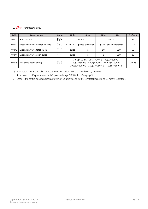### 3.  $\exists P \cap$  (Parameters Table3)

| Add.  | <b>Description</b>              | Code | Unit                                                                         | <b>Step</b>                   | Min.                      | Max. | <b>Default</b> |
|-------|---------------------------------|------|------------------------------------------------------------------------------|-------------------------------|---------------------------|------|----------------|
| 40041 | Hold current                    | ЕНН  |                                                                              | $0=OFF$                       | $1 = ON$                  |      |                |
| 40042 | Expansion valve excitation type | EUd  |                                                                              | $1-2(0)=1-2$ phase excitation | $2(1)=2$ phase excitation |      | $1 - 2$        |
| 40043 | Expansion valve total pulse     | EUP  | pulse                                                                        |                               | 10                        | 999  | 50             |
| 40044 | Expansion valve open pulse      | EUo  | pulse                                                                        |                               | 0                         | 999  | 30             |
| 40045 | EEV drive speed (PPS)           | EBS. | $10(0) = 10$ PPS<br>$50(3) = 50PPS$<br>$200(6) = 200$ PPS $250(7) = 250$ PPS | 30(2)                         |                           |      |                |

1) Parameter Table 3 is usually not use, SANHUA standard EEV can directly set by the DIP SW. If you want modify parameters table 3, please change DIP SW first. (See page 5)

2) Because the controller screen display maximum value is 999, so 40043 EEV total steps pulse 50 means 500 steps.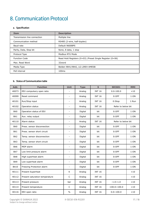## 8. Communication Protocol

#### a. Specification

| <b>Item</b>                  | <b>Description</b>                                        |  |  |  |
|------------------------------|-----------------------------------------------------------|--|--|--|
| Transmission line connection | Multiple line                                             |  |  |  |
| Communication method         | RS485 (2-wire, half-duplex)                               |  |  |  |
| Baud-rate                    | Default 9600BPS                                           |  |  |  |
| Parity, Data, Stop bit       | None, 8 data, 1 stop                                      |  |  |  |
| Protocol Type                | Modbus RTU Mode                                           |  |  |  |
| <b>Function Code</b>         | Read Hold Registers (0×03) /Preset Single Register (0×06) |  |  |  |
| Max. Read Word               | 32word                                                    |  |  |  |
| Media Type                   | Belden 9841/9842, LG LIREV-AMESB                          |  |  |  |
| Poll interval                | 100 <sub>ms</sub>                                         |  |  |  |

#### b. Status of Communication table

| Add.             | <b>Function</b>                | Unit                     | <b>Type</b> | $\mathbf{s}$  | <b>SEC601</b>       | <b>MMI</b>  |
|------------------|--------------------------------|--------------------------|-------------|---------------|---------------------|-------------|
| 40073            | EEV compulsory open ratio      | $\blacksquare$           | Analog      | <b>INT 16</b> | $0.0 - 100.0$       | $\times 10$ |
| 40099            | Reset command                  | $\overline{\phantom{a}}$ | Analog      | <b>INT 16</b> | $0:$ OFF            | 1:ON        |
| 40101            | Run/Stop input                 | $\blacksquare$           | Analog      | <b>INT 16</b> | 0:Stop              | 1:Run       |
| 40102            | Operation status               | $\overline{\phantom{a}}$ | Analog      | <b>INT 16</b> | Refer to below bit  |             |
| Bit0             | Operation status of EEV        | $\overline{\phantom{a}}$ | Digital     | bit           | $0:$ OFF            | 1:ON        |
| Bit1             | Aux. relay output              | $\overline{\phantom{a}}$ | Digital     | bit           | $0:$ OFF            | 1:ON        |
| 40110            | Alarm status                   | $\blacksquare$           | Analog      | <b>INT 16</b> | Refer to below bit  |             |
| Bit <sub>0</sub> | Press, sensor disconnection    | $\overline{\phantom{a}}$ | Digital     | bit           | $0:$ OFF            | 1:ON        |
| Bit1             | Press. sensor short circuit    | $\blacksquare$           | Digital     | bit           | $0:$ OFF            | 1:ON        |
| Bit2             | Temp. sensor disconnection     | $\overline{\phantom{a}}$ | Digital     | bit           | $0:$ OFF            | 1:ON        |
| Bit3             | Temp. sensor short circuit     | $\overline{\phantom{a}}$ | Digital     | bit           | $0:$ OFF            | 1:ON        |
| Bit <sub>6</sub> | MOP alarm                      | $\blacksquare$           | Digital     | bit           | $0:$ OFF            | 1:ON        |
| Bit7             | Low limit pressure alarm       | $\overline{\phantom{a}}$ | Digital     | bit           | $0:$ OFF            | 1:ON        |
| Bit8             | High superheat alarm           | $\blacksquare$           | Digital     | bit           | $0:$ OFF            | 1:ON        |
| Bit9             | Low superheat alarm            | $\blacksquare$           | Digital     | bit           | $0:$ OFF            | 1:ON        |
| Bit10            | Freezing Protection alarm      | $\overline{\phantom{a}}$ | Digital     | bit           | $0:$ OFF            | 1:ON        |
| 40111            | Present Superheat              | K                        | Analog      | <b>INT 16</b> |                     | $\times 10$ |
| 40112            | Present saturation temperature | C                        | Analog      | <b>INT 16</b> |                     | $\times 10$ |
| 40113            | Present pressure               | bar                      | Analog      | <b>INT 16</b> | $-1.0 - 1.0$        | $\times 10$ |
| 40114            | Present temperature            | C                        | Analog      | <b>INT 16</b> | $-100.0 \sim 100.0$ | $\times 10$ |
| 40116            | EEV open ratio                 | $\%$                     | Analog      | <b>INT 16</b> | $0.0 \sim 100.0$    | $\times 10$ |